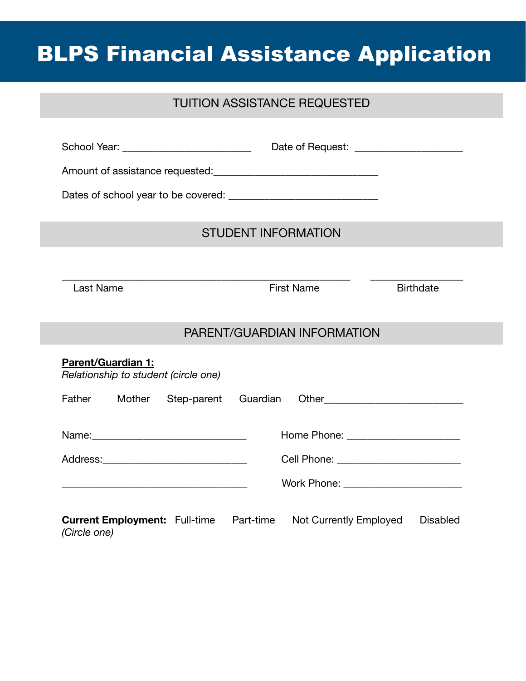# BLPS Financial Assistance Application

# TUITION ASSISTANCE REQUESTED

|                                                                   | <b>STUDENT INFORMATION</b>                |  |  |  |
|-------------------------------------------------------------------|-------------------------------------------|--|--|--|
|                                                                   |                                           |  |  |  |
| <b>Last Name</b>                                                  | <b>First Name</b><br><b>Birthdate</b>     |  |  |  |
|                                                                   | PARENT/GUARDIAN INFORMATION               |  |  |  |
| <b>Parent/Guardian 1:</b><br>Relationship to student (circle one) |                                           |  |  |  |
| Father<br>Mother<br>Step-parent Guardian                          |                                           |  |  |  |
|                                                                   | Home Phone: _______________________       |  |  |  |
| Cell Phone: __________________________                            |                                           |  |  |  |
|                                                                   |                                           |  |  |  |
| <b>Current Employment:</b> Full-time Part-time<br>(Circle one)    | Not Currently Employed<br><b>Disabled</b> |  |  |  |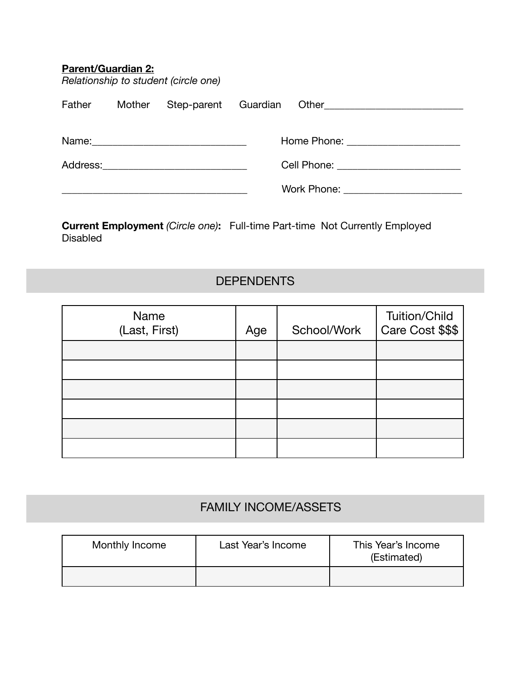| <b>Parent/Guardian 2:</b> |        | Relationship to student (circle one)       |  |                            |
|---------------------------|--------|--------------------------------------------|--|----------------------------|
| Father                    | Mother |                                            |  | Step-parent Guardian Other |
|                           |        |                                            |  |                            |
|                           |        |                                            |  |                            |
|                           |        | Cell Phone: <u>_______________________</u> |  |                            |
|                           |        |                                            |  |                            |
|                           |        |                                            |  |                            |

**Current Employment** *(Circle one)***:** Full-time Part-time Not Currently Employed Disabled

## **DEPENDENTS**

| Name<br>(Last, First) | Age | School/Work | <b>Tuition/Child</b><br>Care Cost \$\$\$ |
|-----------------------|-----|-------------|------------------------------------------|
|                       |     |             |                                          |
|                       |     |             |                                          |
|                       |     |             |                                          |
|                       |     |             |                                          |
|                       |     |             |                                          |
|                       |     |             |                                          |

# FAMILY INCOME/ASSETS

| Monthly Income | Last Year's Income | This Year's Income<br>(Estimated) |  |
|----------------|--------------------|-----------------------------------|--|
|                |                    |                                   |  |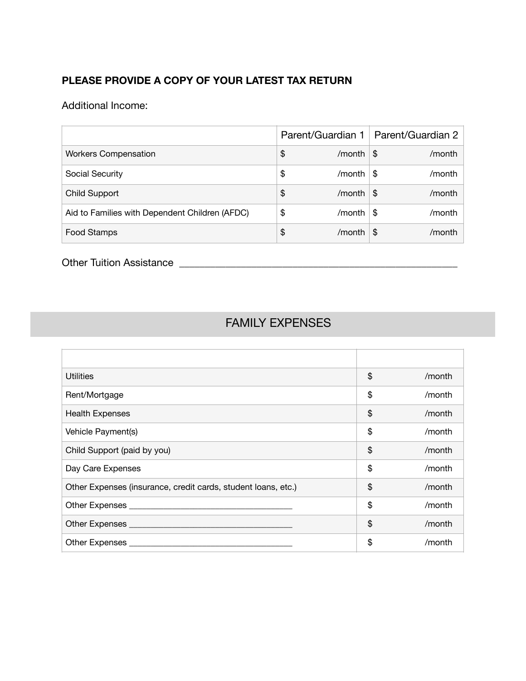#### **PLEASE PROVIDE A COPY OF YOUR LATEST TAX RETURN**

Additional Income:

|                                                | Parent/Guardian 1 |      | Parent/Guardian 2 |
|------------------------------------------------|-------------------|------|-------------------|
| <b>Workers Compensation</b>                    | \$<br>/month      | - \$ | /month            |
| Social Security                                | \$<br>/month      | S    | /month            |
| <b>Child Support</b>                           | \$<br>/month      | \$   | /month            |
| Aid to Families with Dependent Children (AFDC) | \$<br>/month      | \$   | /month            |
| Food Stamps                                    | \$<br>/month      | \$   | /month            |

Other Tuition Assistance \_\_\_\_\_\_\_\_\_\_\_\_\_\_\_\_\_\_\_\_\_\_\_\_\_\_\_\_\_\_\_\_\_\_\_\_\_\_\_\_\_\_\_\_\_\_\_\_\_\_\_\_\_\_

# FAMILY EXPENSES

| <b>Utilities</b>                                              | \$<br>/month |
|---------------------------------------------------------------|--------------|
| Rent/Mortgage                                                 | \$<br>/month |
| <b>Health Expenses</b>                                        | \$<br>/month |
| Vehicle Payment(s)                                            | \$<br>/month |
| Child Support (paid by you)                                   | \$<br>/month |
| Day Care Expenses                                             | \$<br>/month |
| Other Expenses (insurance, credit cards, student loans, etc.) | \$<br>/month |
|                                                               | \$<br>/month |
|                                                               | \$<br>/month |
|                                                               | \$<br>/month |